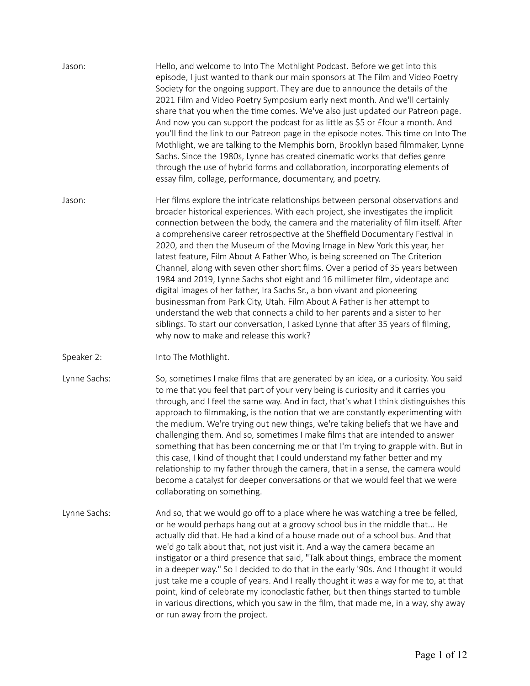| Jason:       | Hello, and welcome to Into The Mothlight Podcast. Before we get into this<br>episode, I just wanted to thank our main sponsors at The Film and Video Poetry<br>Society for the ongoing support. They are due to announce the details of the<br>2021 Film and Video Poetry Symposium early next month. And we'll certainly<br>share that you when the time comes. We've also just updated our Patreon page.<br>And now you can support the podcast for as little as \$5 or £four a month. And<br>you'll find the link to our Patreon page in the episode notes. This time on Into The<br>Mothlight, we are talking to the Memphis born, Brooklyn based filmmaker, Lynne<br>Sachs. Since the 1980s, Lynne has created cinematic works that defies genre<br>through the use of hybrid forms and collaboration, incorporating elements of<br>essay film, collage, performance, documentary, and poetry.                                                                                                                                         |
|--------------|---------------------------------------------------------------------------------------------------------------------------------------------------------------------------------------------------------------------------------------------------------------------------------------------------------------------------------------------------------------------------------------------------------------------------------------------------------------------------------------------------------------------------------------------------------------------------------------------------------------------------------------------------------------------------------------------------------------------------------------------------------------------------------------------------------------------------------------------------------------------------------------------------------------------------------------------------------------------------------------------------------------------------------------------|
| Jason:       | Her films explore the intricate relationships between personal observations and<br>broader historical experiences. With each project, she investigates the implicit<br>connection between the body, the camera and the materiality of film itself. After<br>a comprehensive career retrospective at the Sheffield Documentary Festival in<br>2020, and then the Museum of the Moving Image in New York this year, her<br>latest feature, Film About A Father Who, is being screened on The Criterion<br>Channel, along with seven other short films. Over a period of 35 years between<br>1984 and 2019, Lynne Sachs shot eight and 16 millimeter film, videotape and<br>digital images of her father, Ira Sachs Sr., a bon vivant and pioneering<br>businessman from Park City, Utah. Film About A Father is her attempt to<br>understand the web that connects a child to her parents and a sister to her<br>siblings. To start our conversation, I asked Lynne that after 35 years of filming,<br>why now to make and release this work? |
| Speaker 2:   | Into The Mothlight.                                                                                                                                                                                                                                                                                                                                                                                                                                                                                                                                                                                                                                                                                                                                                                                                                                                                                                                                                                                                                         |
| Lynne Sachs: | So, sometimes I make films that are generated by an idea, or a curiosity. You said<br>to me that you feel that part of your very being is curiosity and it carries you<br>through, and I feel the same way. And in fact, that's what I think distinguishes this<br>approach to filmmaking, is the notion that we are constantly experimenting with<br>the medium. We're trying out new things, we're taking beliefs that we have and<br>challenging them. And so, sometimes I make films that are intended to answer<br>something that has been concerning me or that I'm trying to grapple with. But in<br>this case, I kind of thought that I could understand my father better and my<br>relationship to my father through the camera, that in a sense, the camera would<br>become a catalyst for deeper conversations or that we would feel that we were<br>collaborating on something.                                                                                                                                                 |
| Lynne Sachs: | And so, that we would go off to a place where he was watching a tree be felled,<br>or he would perhaps hang out at a groovy school bus in the middle that He<br>actually did that. He had a kind of a house made out of a school bus. And that<br>we'd go talk about that, not just visit it. And a way the camera became an<br>instigator or a third presence that said, "Talk about things, embrace the moment<br>in a deeper way." So I decided to do that in the early '90s. And I thought it would<br>just take me a couple of years. And I really thought it was a way for me to, at that<br>point, kind of celebrate my iconoclastic father, but then things started to tumble<br>in various directions, which you saw in the film, that made me, in a way, shy away<br>or run away from the project.                                                                                                                                                                                                                                |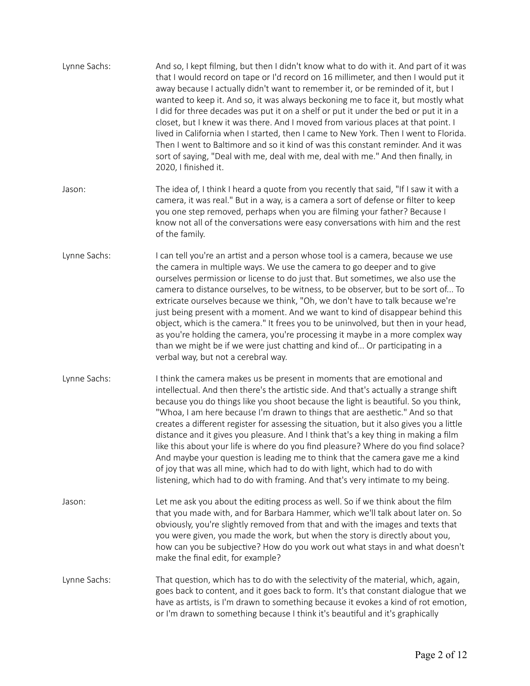| Lynne Sachs: | And so, I kept filming, but then I didn't know what to do with it. And part of it was<br>that I would record on tape or I'd record on 16 millimeter, and then I would put it<br>away because I actually didn't want to remember it, or be reminded of it, but I<br>wanted to keep it. And so, it was always beckoning me to face it, but mostly what<br>I did for three decades was put it on a shelf or put it under the bed or put it in a<br>closet, but I knew it was there. And I moved from various places at that point. I<br>lived in California when I started, then I came to New York. Then I went to Florida.<br>Then I went to Baltimore and so it kind of was this constant reminder. And it was<br>sort of saying, "Deal with me, deal with me, deal with me." And then finally, in<br>2020, I finished it.                                         |
|--------------|--------------------------------------------------------------------------------------------------------------------------------------------------------------------------------------------------------------------------------------------------------------------------------------------------------------------------------------------------------------------------------------------------------------------------------------------------------------------------------------------------------------------------------------------------------------------------------------------------------------------------------------------------------------------------------------------------------------------------------------------------------------------------------------------------------------------------------------------------------------------|
| Jason:       | The idea of, I think I heard a quote from you recently that said, "If I saw it with a<br>camera, it was real." But in a way, is a camera a sort of defense or filter to keep<br>you one step removed, perhaps when you are filming your father? Because I<br>know not all of the conversations were easy conversations with him and the rest<br>of the family.                                                                                                                                                                                                                                                                                                                                                                                                                                                                                                     |
| Lynne Sachs: | I can tell you're an artist and a person whose tool is a camera, because we use<br>the camera in multiple ways. We use the camera to go deeper and to give<br>ourselves permission or license to do just that. But sometimes, we also use the<br>camera to distance ourselves, to be witness, to be observer, but to be sort of To<br>extricate ourselves because we think, "Oh, we don't have to talk because we're<br>just being present with a moment. And we want to kind of disappear behind this<br>object, which is the camera." It frees you to be uninvolved, but then in your head,<br>as you're holding the camera, you're processing it maybe in a more complex way<br>than we might be if we were just chatting and kind of Or participating in a<br>verbal way, but not a cerebral way.                                                              |
| Lynne Sachs: | I think the camera makes us be present in moments that are emotional and<br>intellectual. And then there's the artistic side. And that's actually a strange shift<br>because you do things like you shoot because the light is beautiful. So you think,<br>"Whoa, I am here because I'm drawn to things that are aesthetic." And so that<br>creates a different register for assessing the situation, but it also gives you a little<br>distance and it gives you pleasure. And I think that's a key thing in making a film<br>like this about your life is where do you find pleasure? Where do you find solace?<br>And maybe your question is leading me to think that the camera gave me a kind<br>of joy that was all mine, which had to do with light, which had to do with<br>listening, which had to do with framing. And that's very intimate to my being. |
| Jason:       | Let me ask you about the editing process as well. So if we think about the film<br>that you made with, and for Barbara Hammer, which we'll talk about later on. So<br>obviously, you're slightly removed from that and with the images and texts that<br>you were given, you made the work, but when the story is directly about you,<br>how can you be subjective? How do you work out what stays in and what doesn't<br>make the final edit, for example?                                                                                                                                                                                                                                                                                                                                                                                                        |
| Lynne Sachs: | That question, which has to do with the selectivity of the material, which, again,<br>goes back to content, and it goes back to form. It's that constant dialogue that we<br>have as artists, is I'm drawn to something because it evokes a kind of rot emotion,<br>or I'm drawn to something because I think it's beautiful and it's graphically                                                                                                                                                                                                                                                                                                                                                                                                                                                                                                                  |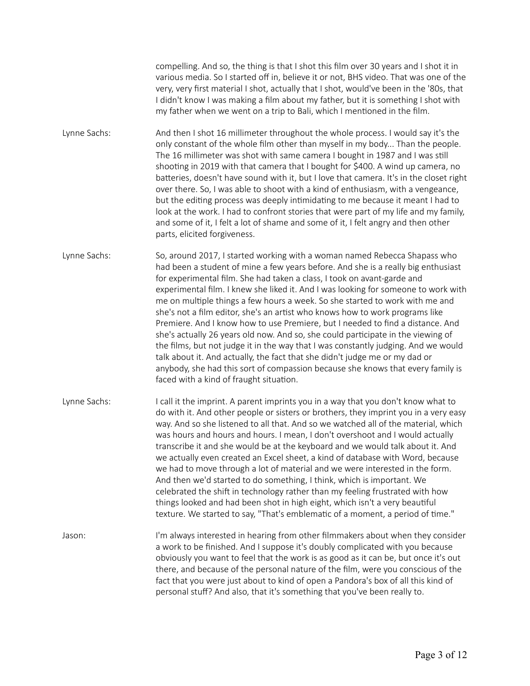compelling. And so, the thing is that I shot this film over 30 years and I shot it in various media. So I started off in, believe it or not, BHS video. That was one of the very, very first material I shot, actually that I shot, would've been in the '80s, that I didn't know I was making a film about my father, but it is something I shot with my father when we went on a trip to Bali, which I mentioned in the film.

Lynne Sachs: And then I shot 16 millimeter throughout the whole process. I would say it's the only constant of the whole film other than myself in my body... Than the people. The 16 millimeter was shot with same camera I bought in 1987 and I was still shooting in 2019 with that camera that I bought for \$400. A wind up camera, no batteries, doesn't have sound with it, but I love that camera. It's in the closet right over there. So, I was able to shoot with a kind of enthusiasm, with a vengeance, but the editing process was deeply intimidating to me because it meant I had to look at the work. I had to confront stories that were part of my life and my family, and some of it, I felt a lot of shame and some of it, I felt angry and then other parts, elicited forgiveness.

Lynne Sachs: So, around 2017, I started working with a woman named Rebecca Shapass who had been a student of mine a few years before. And she is a really big enthusiast for experimental film. She had taken a class, I took on avant-garde and experimental film. I knew she liked it. And I was looking for someone to work with me on multiple things a few hours a week. So she started to work with me and she's not a film editor, she's an artist who knows how to work programs like Premiere. And I know how to use Premiere, but I needed to find a distance. And she's actually 26 years old now. And so, she could participate in the viewing of the films, but not judge it in the way that I was constantly judging. And we would talk about it. And actually, the fact that she didn't judge me or my dad or anybody, she had this sort of compassion because she knows that every family is faced with a kind of fraught situation.

Lynne Sachs: I call it the imprint. A parent imprints you in a way that you don't know what to do with it. And other people or sisters or brothers, they imprint you in a very easy way. And so she listened to all that. And so we watched all of the material, which was hours and hours and hours. I mean, I don't overshoot and I would actually transcribe it and she would be at the keyboard and we would talk about it. And we actually even created an Excel sheet, a kind of database with Word, because we had to move through a lot of material and we were interested in the form. And then we'd started to do something, I think, which is important. We celebrated the shift in technology rather than my feeling frustrated with how things looked and had been shot in high eight, which isn't a very beautiful texture. We started to say, "That's emblematic of a moment, a period of time."

Jason: I'm always interested in hearing from other filmmakers about when they consider a work to be finished. And I suppose it's doubly complicated with you because obviously you want to feel that the work is as good as it can be, but once it's out there, and because of the personal nature of the film, were you conscious of the fact that you were just about to kind of open a Pandora's box of all this kind of personal stuff? And also, that it's something that you've been really to.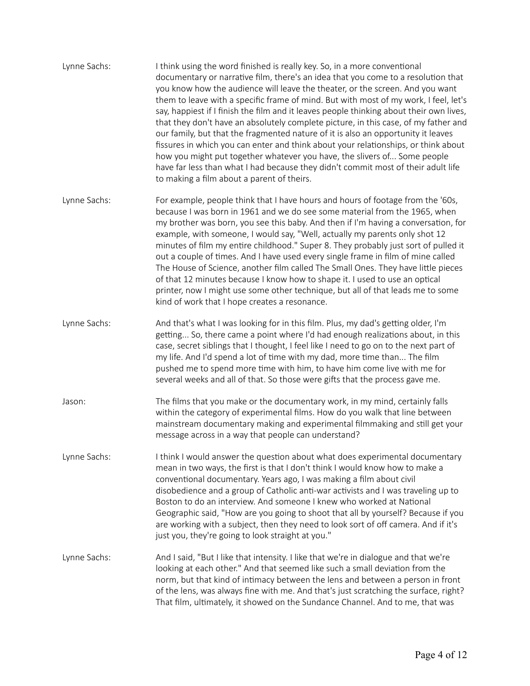Lynne Sachs: I think using the word finished is really key. So, in a more conventional documentary or narrative film, there's an idea that you come to a resolution that you know how the audience will leave the theater, or the screen. And you want them to leave with a specific frame of mind. But with most of my work, I feel, let's say, happiest if I finish the film and it leaves people thinking about their own lives, that they don't have an absolutely complete picture, in this case, of my father and our family, but that the fragmented nature of it is also an opportunity it leaves fissures in which you can enter and think about your relationships, or think about how you might put together whatever you have, the slivers of... Some people have far less than what I had because they didn't commit most of their adult life to making a film about a parent of theirs. Lynne Sachs: For example, people think that I have hours and hours of footage from the '60s, because I was born in 1961 and we do see some material from the 1965, when my brother was born, you see this baby. And then if I'm having a conversation, for example, with someone, I would say, "Well, actually my parents only shot 12 minutes of film my entire childhood." Super 8. They probably just sort of pulled it out a couple of times. And I have used every single frame in film of mine called The House of Science, another film called The Small Ones. They have little pieces of that 12 minutes because I know how to shape it. I used to use an optical printer, now I might use some other technique, but all of that leads me to some kind of work that I hope creates a resonance. Lynne Sachs: And that's what I was looking for in this film. Plus, my dad's getting older, I'm getting... So, there came a point where I'd had enough realizations about, in this case, secret siblings that I thought, I feel like I need to go on to the next part of my life. And I'd spend a lot of time with my dad, more time than... The film pushed me to spend more time with him, to have him come live with me for several weeks and all of that. So those were gifts that the process gave me. Jason: The films that you make or the documentary work, in my mind, certainly falls within the category of experimental films. How do you walk that line between mainstream documentary making and experimental filmmaking and still get your message across in a way that people can understand? Lynne Sachs: I think I would answer the question about what does experimental documentary mean in two ways, the first is that I don't think I would know how to make a conventional documentary. Years ago, I was making a film about civil disobedience and a group of Catholic anti-war activists and I was traveling up to Boston to do an interview. And someone I knew who worked at National Geographic said, "How are you going to shoot that all by yourself? Because if you are working with a subject, then they need to look sort of off camera. And if it's just you, they're going to look straight at you." Lynne Sachs: And I said, "But I like that intensity. I like that we're in dialogue and that we're looking at each other." And that seemed like such a small deviation from the norm, but that kind of intimacy between the lens and between a person in front of the lens, was always fine with me. And that's just scratching the surface, right? That film, ultimately, it showed on the Sundance Channel. And to me, that was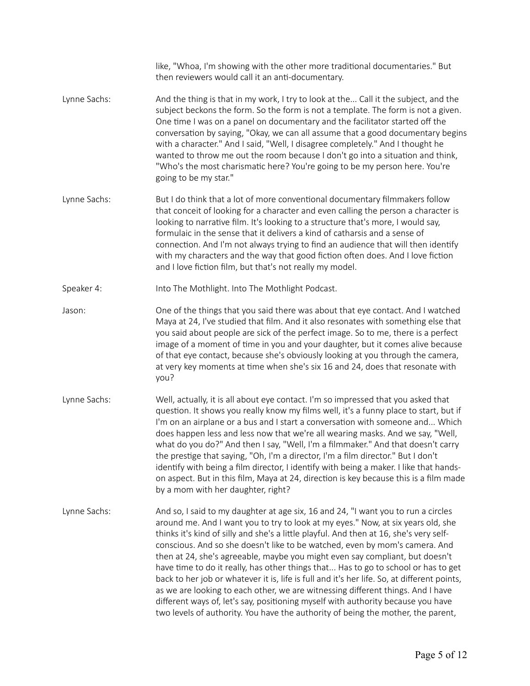like, "Whoa, I'm showing with the other more traditional documentaries." But then reviewers would call it an anti-documentary. Lynne Sachs: And the thing is that in my work, I try to look at the... Call it the subject, and the subject beckons the form. So the form is not a template. The form is not a given. One time I was on a panel on documentary and the facilitator started off the conversation by saying, "Okay, we can all assume that a good documentary begins with a character." And I said, "Well, I disagree completely." And I thought he wanted to throw me out the room because I don't go into a situation and think, "Who's the most charismatic here? You're going to be my person here. You're going to be my star." Lynne Sachs: But I do think that a lot of more conventional documentary filmmakers follow that conceit of looking for a character and even calling the person a character is looking to narrative film. It's looking to a structure that's more, I would say, formulaic in the sense that it delivers a kind of catharsis and a sense of connection. And I'm not always trying to find an audience that will then identify with my characters and the way that good fiction often does. And I love fiction and I love fiction film, but that's not really my model. Speaker 4: Into The Mothlight. Into The Mothlight Podcast. Jason: One of the things that you said there was about that eye contact. And I watched Maya at 24, I've studied that film. And it also resonates with something else that you said about people are sick of the perfect image. So to me, there is a perfect image of a moment of time in you and your daughter, but it comes alive because of that eye contact, because she's obviously looking at you through the camera, at very key moments at time when she's six 16 and 24, does that resonate with you? Lynne Sachs: Well, actually, it is all about eye contact. I'm so impressed that you asked that question. It shows you really know my films well, it's a funny place to start, but if I'm on an airplane or a bus and I start a conversation with someone and... Which does happen less and less now that we're all wearing masks. And we say, "Well, what do you do?" And then I say, "Well, I'm a filmmaker." And that doesn't carry the prestige that saying, "Oh, I'm a director, I'm a film director." But I don't identify with being a film director, I identify with being a maker. I like that handson aspect. But in this film, Maya at 24, direction is key because this is a film made by a mom with her daughter, right? Lynne Sachs: And so, I said to my daughter at age six, 16 and 24, "I want you to run a circles around me. And I want you to try to look at my eyes." Now, at six years old, she thinks it's kind of silly and she's a little playful. And then at 16, she's very selfconscious. And so she doesn't like to be watched, even by mom's camera. And then at 24, she's agreeable, maybe you might even say compliant, but doesn't have time to do it really, has other things that... Has to go to school or has to get back to her job or whatever it is, life is full and it's her life. So, at different points, as we are looking to each other, we are witnessing different things. And I have different ways of, let's say, positioning myself with authority because you have two levels of authority. You have the authority of being the mother, the parent,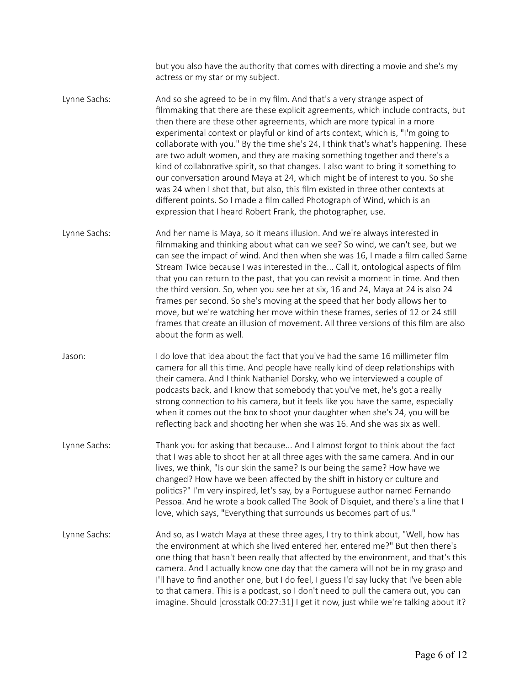|                                   | but you also have the authority that comes with directing a movie and she's my |
|-----------------------------------|--------------------------------------------------------------------------------|
| actress or my star or my subject. |                                                                                |

- Lynne Sachs: And so she agreed to be in my film. And that's a very strange aspect of filmmaking that there are these explicit agreements, which include contracts, but then there are these other agreements, which are more typical in a more experimental context or playful or kind of arts context, which is, "I'm going to collaborate with you." By the time she's 24, I think that's what's happening. These are two adult women, and they are making something together and there's a kind of collaborative spirit, so that changes. I also want to bring it something to our conversation around Maya at 24, which might be of interest to you. So she was 24 when I shot that, but also, this film existed in three other contexts at different points. So I made a film called Photograph of Wind, which is an expression that I heard Robert Frank, the photographer, use.
- Lynne Sachs: And her name is Maya, so it means illusion. And we're always interested in filmmaking and thinking about what can we see? So wind, we can't see, but we can see the impact of wind. And then when she was 16, I made a film called Same Stream Twice because I was interested in the... Call it, ontological aspects of film that you can return to the past, that you can revisit a moment in time. And then the third version. So, when you see her at six, 16 and 24, Maya at 24 is also 24 frames per second. So she's moving at the speed that her body allows her to move, but we're watching her move within these frames, series of 12 or 24 still frames that create an illusion of movement. All three versions of this film are also about the form as well.
- Jason: I do love that idea about the fact that you've had the same 16 millimeter film camera for all this time. And people have really kind of deep relationships with their camera. And I think Nathaniel Dorsky, who we interviewed a couple of podcasts back, and I know that somebody that you've met, he's got a really strong connection to his camera, but it feels like you have the same, especially when it comes out the box to shoot your daughter when she's 24, you will be reflecting back and shooting her when she was 16. And she was six as well.
- Lynne Sachs: Thank you for asking that because... And I almost forgot to think about the fact that I was able to shoot her at all three ages with the same camera. And in our lives, we think, "Is our skin the same? Is our being the same? How have we changed? How have we been affected by the shift in history or culture and politics?" I'm very inspired, let's say, by a Portuguese author named Fernando Pessoa. And he wrote a book called The Book of Disquiet, and there's a line that I love, which says, "Everything that surrounds us becomes part of us."
- Lynne Sachs: And so, as I watch Maya at these three ages, I try to think about, "Well, how has the environment at which she lived entered her, entered me?" But then there's one thing that hasn't been really that affected by the environment, and that's this camera. And I actually know one day that the camera will not be in my grasp and I'll have to find another one, but I do feel, I guess I'd say lucky that I've been able to that camera. This is a podcast, so I don't need to pull the camera out, you can imagine. Should [crosstalk 00:27:31] I get it now, just while we're talking about it?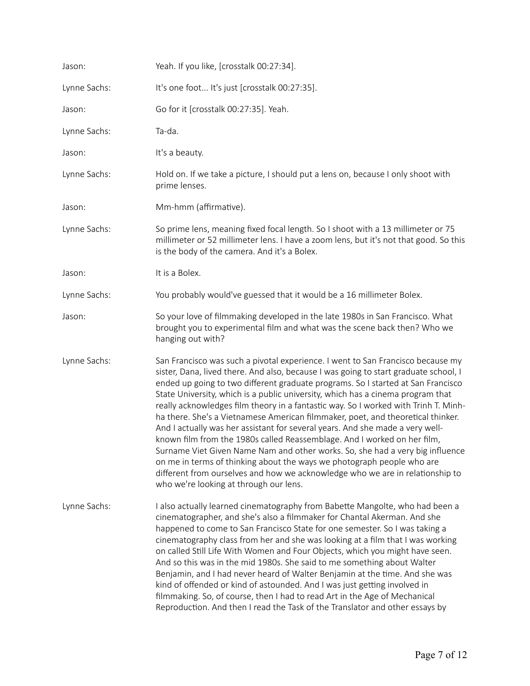| Jason:       | Yeah. If you like, [crosstalk 00:27:34].                                                                                                                                                                                                                                                                                                                                                                                                                                                                                                                                                                                                                                                                                                                                                                                                                                                                                                                                    |
|--------------|-----------------------------------------------------------------------------------------------------------------------------------------------------------------------------------------------------------------------------------------------------------------------------------------------------------------------------------------------------------------------------------------------------------------------------------------------------------------------------------------------------------------------------------------------------------------------------------------------------------------------------------------------------------------------------------------------------------------------------------------------------------------------------------------------------------------------------------------------------------------------------------------------------------------------------------------------------------------------------|
| Lynne Sachs: | It's one foot It's just [crosstalk 00:27:35].                                                                                                                                                                                                                                                                                                                                                                                                                                                                                                                                                                                                                                                                                                                                                                                                                                                                                                                               |
| Jason:       | Go for it [crosstalk 00:27:35]. Yeah.                                                                                                                                                                                                                                                                                                                                                                                                                                                                                                                                                                                                                                                                                                                                                                                                                                                                                                                                       |
| Lynne Sachs: | Ta-da.                                                                                                                                                                                                                                                                                                                                                                                                                                                                                                                                                                                                                                                                                                                                                                                                                                                                                                                                                                      |
| Jason:       | It's a beauty.                                                                                                                                                                                                                                                                                                                                                                                                                                                                                                                                                                                                                                                                                                                                                                                                                                                                                                                                                              |
| Lynne Sachs: | Hold on. If we take a picture, I should put a lens on, because I only shoot with<br>prime lenses.                                                                                                                                                                                                                                                                                                                                                                                                                                                                                                                                                                                                                                                                                                                                                                                                                                                                           |
| Jason:       | Mm-hmm (affirmative).                                                                                                                                                                                                                                                                                                                                                                                                                                                                                                                                                                                                                                                                                                                                                                                                                                                                                                                                                       |
| Lynne Sachs: | So prime lens, meaning fixed focal length. So I shoot with a 13 millimeter or 75<br>millimeter or 52 millimeter lens. I have a zoom lens, but it's not that good. So this<br>is the body of the camera. And it's a Bolex.                                                                                                                                                                                                                                                                                                                                                                                                                                                                                                                                                                                                                                                                                                                                                   |
| Jason:       | It is a Bolex.                                                                                                                                                                                                                                                                                                                                                                                                                                                                                                                                                                                                                                                                                                                                                                                                                                                                                                                                                              |
| Lynne Sachs: | You probably would've guessed that it would be a 16 millimeter Bolex.                                                                                                                                                                                                                                                                                                                                                                                                                                                                                                                                                                                                                                                                                                                                                                                                                                                                                                       |
| Jason:       | So your love of filmmaking developed in the late 1980s in San Francisco. What<br>brought you to experimental film and what was the scene back then? Who we<br>hanging out with?                                                                                                                                                                                                                                                                                                                                                                                                                                                                                                                                                                                                                                                                                                                                                                                             |
| Lynne Sachs: | San Francisco was such a pivotal experience. I went to San Francisco because my<br>sister, Dana, lived there. And also, because I was going to start graduate school, I<br>ended up going to two different graduate programs. So I started at San Francisco<br>State University, which is a public university, which has a cinema program that<br>really acknowledges film theory in a fantastic way. So I worked with Trinh T. Minh-<br>ha there. She's a Vietnamese American filmmaker, poet, and theoretical thinker.<br>And I actually was her assistant for several years. And she made a very well-<br>known film from the 1980s called Reassemblage. And I worked on her film,<br>Surname Viet Given Name Nam and other works. So, she had a very big influence<br>on me in terms of thinking about the ways we photograph people who are<br>different from ourselves and how we acknowledge who we are in relationship to<br>who we're looking at through our lens. |
| Lynne Sachs: | I also actually learned cinematography from Babette Mangolte, who had been a<br>cinematographer, and she's also a filmmaker for Chantal Akerman. And she<br>happened to come to San Francisco State for one semester. So I was taking a<br>cinematography class from her and she was looking at a film that I was working<br>on called Still Life With Women and Four Objects, which you might have seen.<br>And so this was in the mid 1980s. She said to me something about Walter<br>Benjamin, and I had never heard of Walter Benjamin at the time. And she was<br>kind of offended or kind of astounded. And I was just getting involved in<br>filmmaking. So, of course, then I had to read Art in the Age of Mechanical<br>Reproduction. And then I read the Task of the Translator and other essays by                                                                                                                                                              |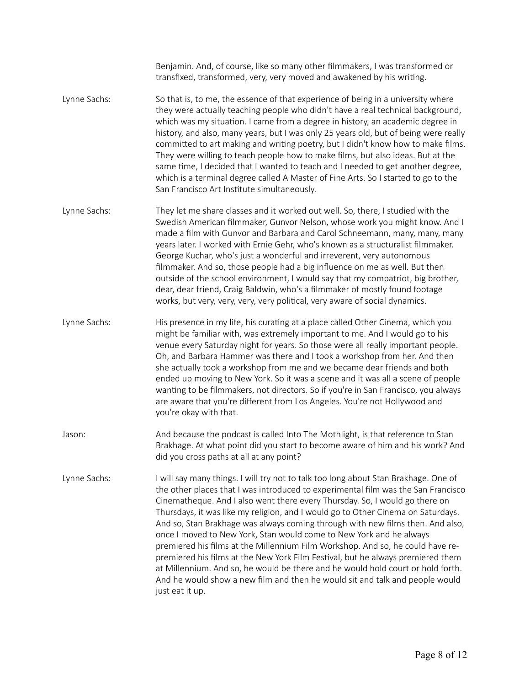Benjamin. And, of course, like so many other filmmakers, I was transformed or transfixed, transformed, very, very moved and awakened by his writing.

- Lynne Sachs: So that is, to me, the essence of that experience of being in a university where they were actually teaching people who didn't have a real technical background, which was my situation. I came from a degree in history, an academic degree in history, and also, many years, but I was only 25 years old, but of being were really committed to art making and writing poetry, but I didn't know how to make films. They were willing to teach people how to make films, but also ideas. But at the same time, I decided that I wanted to teach and I needed to get another degree, which is a terminal degree called A Master of Fine Arts. So I started to go to the San Francisco Art Institute simultaneously.
- Lynne Sachs: They let me share classes and it worked out well. So, there, I studied with the Swedish American filmmaker, Gunvor Nelson, whose work you might know. And I made a film with Gunvor and Barbara and Carol Schneemann, many, many, many years later. I worked with Ernie Gehr, who's known as a structuralist filmmaker. George Kuchar, who's just a wonderful and irreverent, very autonomous filmmaker. And so, those people had a big influence on me as well. But then outside of the school environment, I would say that my compatriot, big brother, dear, dear friend, Craig Baldwin, who's a filmmaker of mostly found footage works, but very, very, very, very political, very aware of social dynamics.
- Lynne Sachs: His presence in my life, his curating at a place called Other Cinema, which you might be familiar with, was extremely important to me. And I would go to his venue every Saturday night for years. So those were all really important people. Oh, and Barbara Hammer was there and I took a workshop from her. And then she actually took a workshop from me and we became dear friends and both ended up moving to New York. So it was a scene and it was all a scene of people wanting to be filmmakers, not directors. So if you're in San Francisco, you always are aware that you're different from Los Angeles. You're not Hollywood and you're okay with that.
- Jason: And because the podcast is called Into The Mothlight, is that reference to Stan Brakhage. At what point did you start to become aware of him and his work? And did you cross paths at all at any point?
- Lynne Sachs: I will say many things. I will try not to talk too long about Stan Brakhage. One of the other places that I was introduced to experimental film was the San Francisco Cinematheque. And I also went there every Thursday. So, I would go there on Thursdays, it was like my religion, and I would go to Other Cinema on Saturdays. And so, Stan Brakhage was always coming through with new films then. And also, once I moved to New York, Stan would come to New York and he always premiered his films at the Millennium Film Workshop. And so, he could have repremiered his films at the New York Film Festival, but he always premiered them at Millennium. And so, he would be there and he would hold court or hold forth. And he would show a new film and then he would sit and talk and people would just eat it up.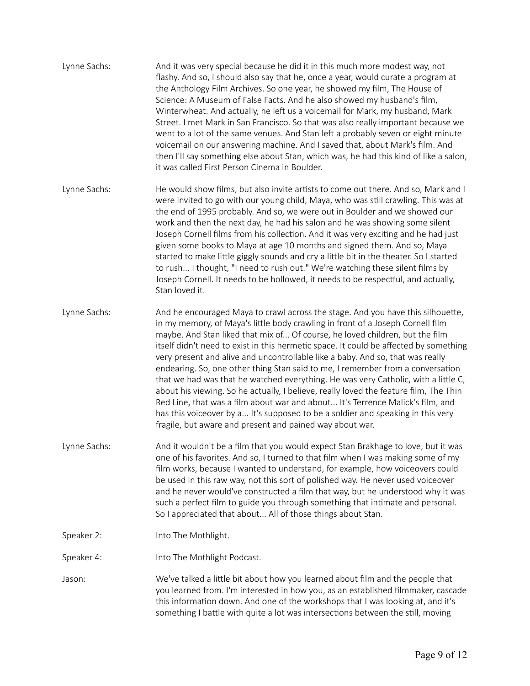| Lynne Sachs: | And it was very special because he did it in this much more modest way, not<br>flashy. And so, I should also say that he, once a year, would curate a program at<br>the Anthology Film Archives. So one year, he showed my film, The House of<br>Science: A Museum of False Facts. And he also showed my husband's film,<br>Winterwheat. And actually, he left us a voicemail for Mark, my husband, Mark<br>Street. I met Mark in San Francisco. So that was also really important because we<br>went to a lot of the same venues. And Stan left a probably seven or eight minute<br>voicemail on our answering machine. And I saved that, about Mark's film. And<br>then I'll say something else about Stan, which was, he had this kind of like a salon,<br>it was called First Person Cinema in Boulder.                                                                                                                    |
|--------------|--------------------------------------------------------------------------------------------------------------------------------------------------------------------------------------------------------------------------------------------------------------------------------------------------------------------------------------------------------------------------------------------------------------------------------------------------------------------------------------------------------------------------------------------------------------------------------------------------------------------------------------------------------------------------------------------------------------------------------------------------------------------------------------------------------------------------------------------------------------------------------------------------------------------------------|
| Lynne Sachs: | He would show films, but also invite artists to come out there. And so, Mark and I<br>were invited to go with our young child, Maya, who was still crawling. This was at<br>the end of 1995 probably. And so, we were out in Boulder and we showed our<br>work and then the next day, he had his salon and he was showing some silent<br>Joseph Cornell films from his collection. And it was very exciting and he had just<br>given some books to Maya at age 10 months and signed them. And so, Maya<br>started to make little giggly sounds and cry a little bit in the theater. So I started<br>to rush I thought, "I need to rush out." We're watching these silent films by<br>Joseph Cornell. It needs to be hollowed, it needs to be respectful, and actually,<br>Stan loved it.                                                                                                                                       |
| Lynne Sachs: | And he encouraged Maya to crawl across the stage. And you have this silhouette,<br>in my memory, of Maya's little body crawling in front of a Joseph Cornell film<br>maybe. And Stan liked that mix of Of course, he loved children, but the film<br>itself didn't need to exist in this hermetic space. It could be affected by something<br>very present and alive and uncontrollable like a baby. And so, that was really<br>endearing. So, one other thing Stan said to me, I remember from a conversation<br>that we had was that he watched everything. He was very Catholic, with a little C,<br>about his viewing. So he actually, I believe, really loved the feature film, The Thin<br>Red Line, that was a film about war and about It's Terrence Malick's film, and<br>has this voiceover by a It's supposed to be a soldier and speaking in this very<br>fragile, but aware and present and pained way about war. |
| Lynne Sachs: | And it wouldn't be a film that you would expect Stan Brakhage to love, but it was<br>one of his favorites. And so, I turned to that film when I was making some of my<br>film works, because I wanted to understand, for example, how voiceovers could<br>be used in this raw way, not this sort of polished way. He never used voiceover<br>and he never would've constructed a film that way, but he understood why it was<br>such a perfect film to guide you through something that intimate and personal.<br>So I appreciated that about All of those things about Stan.                                                                                                                                                                                                                                                                                                                                                  |
| Speaker 2:   | Into The Mothlight.                                                                                                                                                                                                                                                                                                                                                                                                                                                                                                                                                                                                                                                                                                                                                                                                                                                                                                            |
| Speaker 4:   | Into The Mothlight Podcast.                                                                                                                                                                                                                                                                                                                                                                                                                                                                                                                                                                                                                                                                                                                                                                                                                                                                                                    |
| Jason:       | We've talked a little bit about how you learned about film and the people that<br>you learned from. I'm interested in how you, as an established filmmaker, cascade<br>this information down. And one of the workshops that I was looking at, and it's<br>something I battle with quite a lot was intersections between the still, moving                                                                                                                                                                                                                                                                                                                                                                                                                                                                                                                                                                                      |
|              |                                                                                                                                                                                                                                                                                                                                                                                                                                                                                                                                                                                                                                                                                                                                                                                                                                                                                                                                |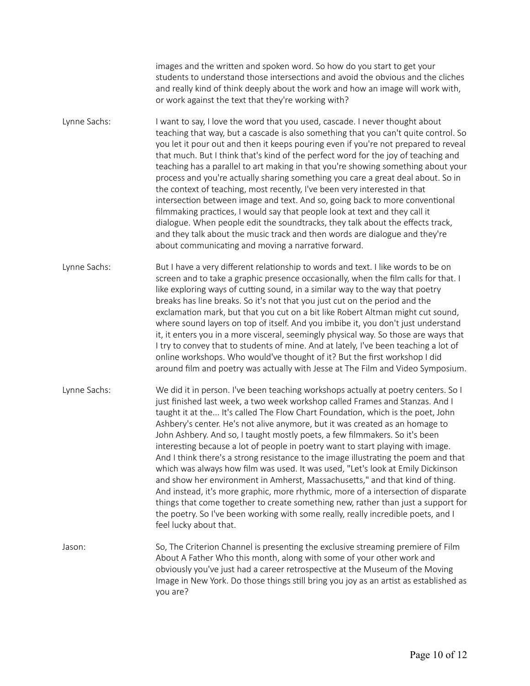images and the written and spoken word. So how do you start to get your students to understand those intersections and avoid the obvious and the cliches and really kind of think deeply about the work and how an image will work with, or work against the text that they're working with?

Lynne Sachs: I want to say, I love the word that you used, cascade. I never thought about teaching that way, but a cascade is also something that you can't quite control. So you let it pour out and then it keeps pouring even if you're not prepared to reveal that much. But I think that's kind of the perfect word for the joy of teaching and teaching has a parallel to art making in that you're showing something about your process and you're actually sharing something you care a great deal about. So in the context of teaching, most recently, I've been very interested in that intersection between image and text. And so, going back to more conventional filmmaking practices, I would say that people look at text and they call it dialogue. When people edit the soundtracks, they talk about the effects track, and they talk about the music track and then words are dialogue and they're about communicating and moving a narrative forward.

Lynne Sachs: But I have a very different relationship to words and text. I like words to be on screen and to take a graphic presence occasionally, when the film calls for that. I like exploring ways of cutting sound, in a similar way to the way that poetry breaks has line breaks. So it's not that you just cut on the period and the exclamation mark, but that you cut on a bit like Robert Altman might cut sound, where sound layers on top of itself. And you imbibe it, you don't just understand it, it enters you in a more visceral, seemingly physical way. So those are ways that I try to convey that to students of mine. And at lately, I've been teaching a lot of online workshops. Who would've thought of it? But the first workshop I did around film and poetry was actually with Jesse at The Film and Video Symposium.

Lynne Sachs: We did it in person. I've been teaching workshops actually at poetry centers. So I just finished last week, a two week workshop called Frames and Stanzas. And I taught it at the... It's called The Flow Chart Foundation, which is the poet, John Ashbery's center. He's not alive anymore, but it was created as an homage to John Ashbery. And so, I taught mostly poets, a few filmmakers. So it's been interesting because a lot of people in poetry want to start playing with image. And I think there's a strong resistance to the image illustrating the poem and that which was always how film was used. It was used, "Let's look at Emily Dickinson and show her environment in Amherst, Massachusetts," and that kind of thing. And instead, it's more graphic, more rhythmic, more of a intersection of disparate things that come together to create something new, rather than just a support for the poetry. So I've been working with some really, really incredible poets, and I feel lucky about that.

Jason: So, The Criterion Channel is presenting the exclusive streaming premiere of Film About A Father Who this month, along with some of your other work and obviously you've just had a career retrospective at the Museum of the Moving Image in New York. Do those things still bring you joy as an artist as established as you are?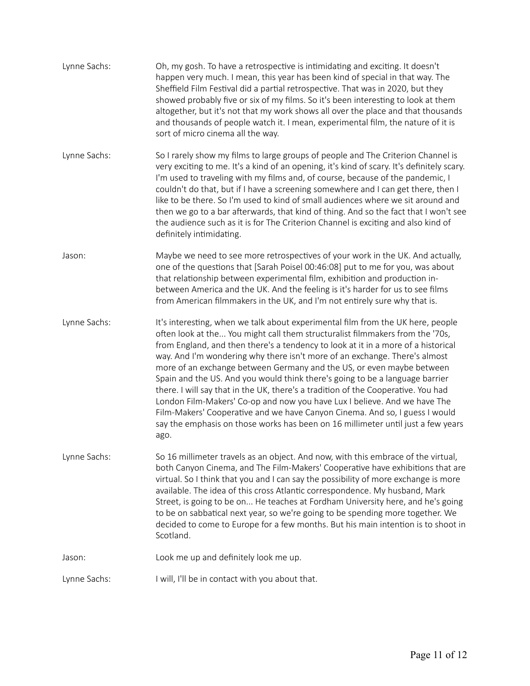| Lynne Sachs: | Oh, my gosh. To have a retrospective is intimidating and exciting. It doesn't<br>happen very much. I mean, this year has been kind of special in that way. The<br>Sheffield Film Festival did a partial retrospective. That was in 2020, but they<br>showed probably five or six of my films. So it's been interesting to look at them<br>altogether, but it's not that my work shows all over the place and that thousands<br>and thousands of people watch it. I mean, experimental film, the nature of it is<br>sort of micro cinema all the way.                                                                                                                                                                                                                                                                                      |
|--------------|-------------------------------------------------------------------------------------------------------------------------------------------------------------------------------------------------------------------------------------------------------------------------------------------------------------------------------------------------------------------------------------------------------------------------------------------------------------------------------------------------------------------------------------------------------------------------------------------------------------------------------------------------------------------------------------------------------------------------------------------------------------------------------------------------------------------------------------------|
| Lynne Sachs: | So I rarely show my films to large groups of people and The Criterion Channel is<br>very exciting to me. It's a kind of an opening, it's kind of scary. It's definitely scary.<br>I'm used to traveling with my films and, of course, because of the pandemic, I<br>couldn't do that, but if I have a screening somewhere and I can get there, then I<br>like to be there. So I'm used to kind of small audiences where we sit around and<br>then we go to a bar afterwards, that kind of thing. And so the fact that I won't see<br>the audience such as it is for The Criterion Channel is exciting and also kind of<br>definitely intimidating.                                                                                                                                                                                        |
| Jason:       | Maybe we need to see more retrospectives of your work in the UK. And actually,<br>one of the questions that [Sarah Poisel 00:46:08] put to me for you, was about<br>that relationship between experimental film, exhibition and production in-<br>between America and the UK. And the feeling is it's harder for us to see films<br>from American filmmakers in the UK, and I'm not entirely sure why that is.                                                                                                                                                                                                                                                                                                                                                                                                                            |
| Lynne Sachs: | It's interesting, when we talk about experimental film from the UK here, people<br>often look at the You might call them structuralist filmmakers from the '70s,<br>from England, and then there's a tendency to look at it in a more of a historical<br>way. And I'm wondering why there isn't more of an exchange. There's almost<br>more of an exchange between Germany and the US, or even maybe between<br>Spain and the US. And you would think there's going to be a language barrier<br>there. I will say that in the UK, there's a tradition of the Cooperative. You had<br>London Film-Makers' Co-op and now you have Lux I believe. And we have The<br>Film-Makers' Cooperative and we have Canyon Cinema. And so, I guess I would<br>say the emphasis on those works has been on 16 millimeter until just a few years<br>ago. |
| Lynne Sachs: | So 16 millimeter travels as an object. And now, with this embrace of the virtual,<br>both Canyon Cinema, and The Film-Makers' Cooperative have exhibitions that are<br>virtual. So I think that you and I can say the possibility of more exchange is more<br>available. The idea of this cross Atlantic correspondence. My husband, Mark<br>Street, is going to be on He teaches at Fordham University here, and he's going<br>to be on sabbatical next year, so we're going to be spending more together. We<br>decided to come to Europe for a few months. But his main intention is to shoot in<br>Scotland.                                                                                                                                                                                                                          |
| Jason:       | Look me up and definitely look me up.                                                                                                                                                                                                                                                                                                                                                                                                                                                                                                                                                                                                                                                                                                                                                                                                     |
| Lynne Sachs: | I will, I'll be in contact with you about that.                                                                                                                                                                                                                                                                                                                                                                                                                                                                                                                                                                                                                                                                                                                                                                                           |